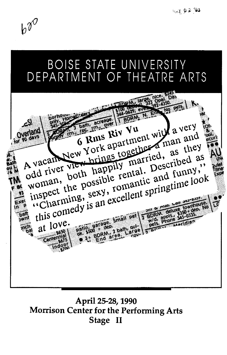$b^{\gamma}$ 



April 25-28, 1990 Morrison Center for the Performing Arts Stage II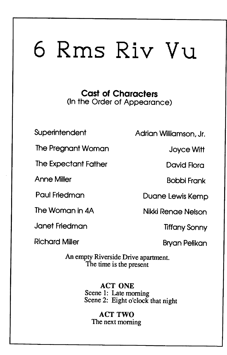# **6 Rms Riv** Vu

**Cast of Characters**  (In the Order of Appearance)

The Pregnant Woman Joyce Witt

The Expectant Father **David Flora** 

Janet Friedman Tiffany Sonny

Richard Miller Bryan Pelikan

Superintendent Adrian Williamson, Jr.

Anne Miller **Bobbi Frank** 

Paul Friedman Duane Lewis Kemp

The Woman in 4A Nikki Renae Nelson

An empty Riverside Drive apartment. The time is the present

> ACT ONE Scene 1: Late morning Scene 2: Eight o'clock that night

ACT TWO The next morning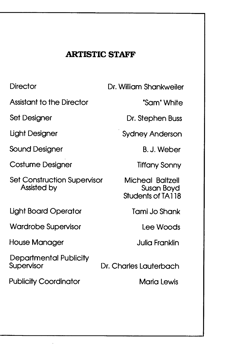### **ARTISTIC STAFF**

**Director** 

Assistant to the Director

Set Designer

**Light Designer** 

Sound Designer

Costume Designer

Set Construction Supervisor Assisted by

Ught Board Operator

Wardrobe Supervisor

House Manager

Departmental Publicity

Publicity Coordinator **Maria Lewis** 

Dr. William Shankweiler

"Sam" White

Dr. Stephen Buss

Sydney Anderson

B.J. Weber

Tiffany Sonny

Micheal Baltzell Susan Boyd Students of TA118

Tami Jo Shank

Lee Woods

Julia Franklin

Dr. Charles Lauterbach